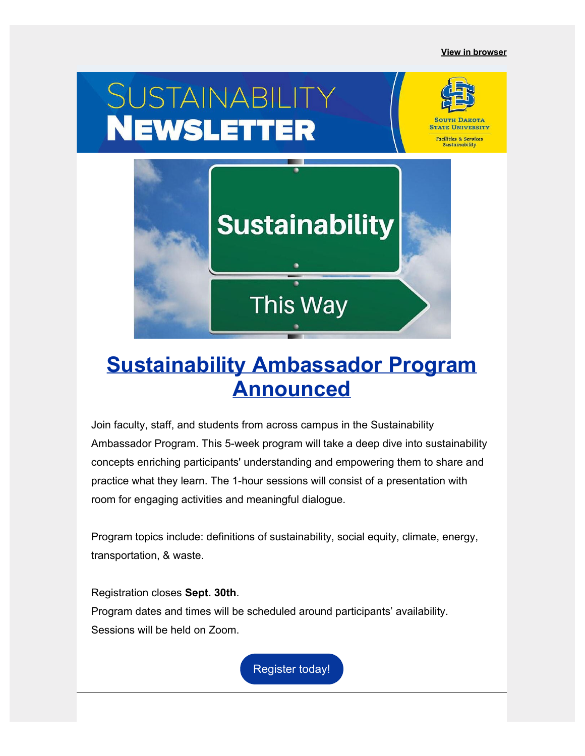

# **Sustainability Ambassador Program Announced**

This Way

Join faculty, staff, and students from across campus in the Sustainability Ambassador Program. This 5-week program will take a deep dive into sustainability concepts enriching participants' understanding and empowering them to share and practice what they learn. The 1-hour sessions will consist of a presentation with room for engaging activities and meaningful dialogue.

Program topics include: definitions of sustainability, social equity, climate, energy, transportation, & waste.

Registration closes **Sept. 30th**. Program dates and times will be scheduled around participants' availability. Sessions will be held on Zoom.

Register today!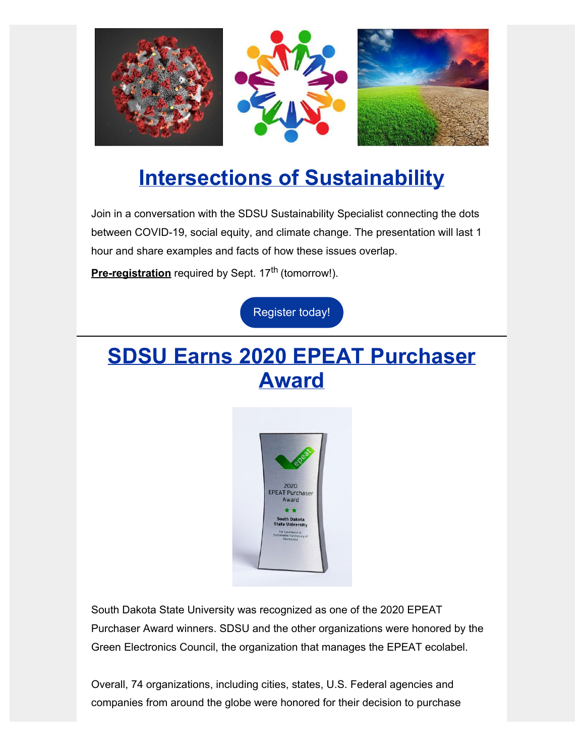

## **Intersections of Sustainability**

Join in a conversation with the SDSU Sustainability Specialist connecting the dots between COVID-19, social equity, and climate change. The presentation will last 1 hour and share examples and facts of how these issues overlap.

**[Pre-registration](https://intersectionsofsustainability.questionpro.com/?utm_source=hs_email&utm_medium=email&_hsenc=p2ANqtz-__emd0p-NOg5fO56czbbsXnNP9vsXio1BAj8iouU_wOQm4QSJvvUTZ9qnYVBbM9HeuQOZs0LFDesUybTSiSvYxSsGL-72oH5vZU2zBNVI0nW1MvJ8)** required by Sept. 17<sup>th</sup> (tomorrow!).

Register today!

## **SDSU Earns 2020 EPEAT Purchaser Award**



South Dakota State University was recognized as one of the 2020 EPEAT Purchaser Award winners. SDSU and the other organizations were honored by the Green Electronics Council, the organization that manages the EPEAT ecolabel.

Overall, 74 organizations, including cities, states, U.S. Federal agencies and companies from around the globe were honored for their decision to purchase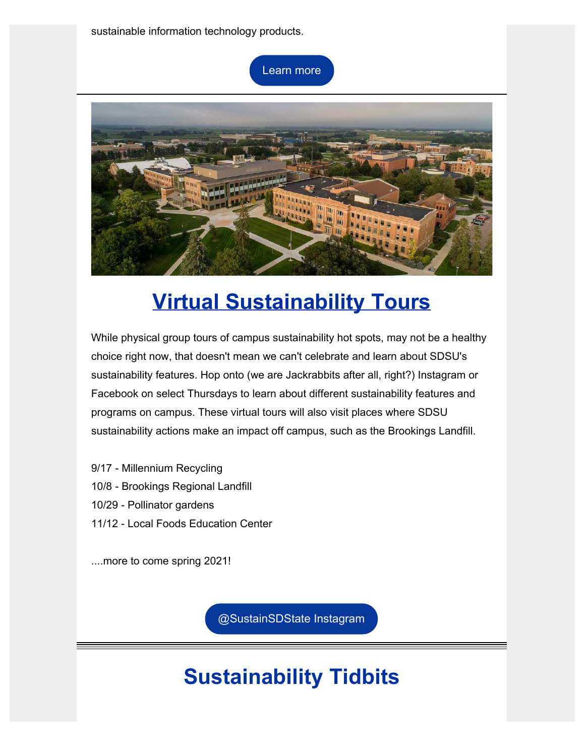sustainable information technology products.

Learn more



# **Virtual Sustainability Tours**

While physical group tours of campus sustainability hot spots, may not be a healthy choice right now, that doesn't mean we can't celebrate and learn about SDSU's sustainability features. Hop onto (we are Jackrabbits after all, right?) Instagram or Facebook on select Thursdays to learn about different sustainability features and programs on campus. These virtual tours will also visit places where SDSU sustainability actions make an impact off campus, such as the Brookings Landfill.

- 9/17 Millennium Recycling 10/8 - Brookings Regional Landfill 10/29 - Pollinator gardens
- 11/12 Local Foods Education Center

....more to come spring 2021!

@SustainSDState Instagram

# **Sustainability Tidbits**